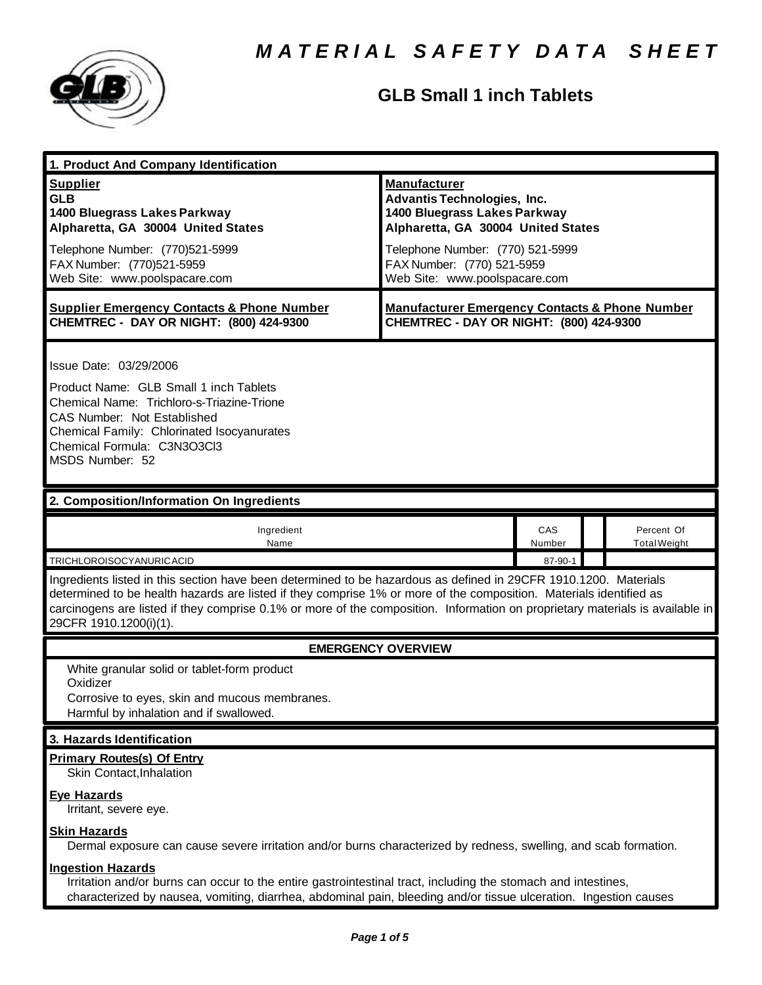

## **GLB Small 1 inch Tablets**

| 1. Product And Company Identification                                                                                                                                                                                                                                                                                                                                                                                                    |                                                                                                                                                                                                                                    |               |  |                                   |  |
|------------------------------------------------------------------------------------------------------------------------------------------------------------------------------------------------------------------------------------------------------------------------------------------------------------------------------------------------------------------------------------------------------------------------------------------|------------------------------------------------------------------------------------------------------------------------------------------------------------------------------------------------------------------------------------|---------------|--|-----------------------------------|--|
| <b>Supplier</b><br><b>GLB</b><br>1400 Bluegrass Lakes Parkway<br>Alpharetta, GA 30004 United States<br>Telephone Number: (770)521-5999<br>FAX Number: (770)521-5959<br>Web Site: www.poolspacare.com                                                                                                                                                                                                                                     | <b>Manufacturer</b><br><b>Advantis Technologies, Inc.</b><br>1400 Bluegrass Lakes Parkway<br>Alpharetta, GA 30004 United States<br>Telephone Number: (770) 521-5999<br>FAX Number: (770) 521-5959<br>Web Site: www.poolspacare.com |               |  |                                   |  |
| <b>Supplier Emergency Contacts &amp; Phone Number</b><br>CHEMTREC - DAY OR NIGHT: (800) 424-9300                                                                                                                                                                                                                                                                                                                                         | <b>Manufacturer Emergency Contacts &amp; Phone Number</b><br>CHEMTREC - DAY OR NIGHT: (800) 424-9300                                                                                                                               |               |  |                                   |  |
| Issue Date: 03/29/2006<br>Product Name: GLB Small 1 inch Tablets<br>Chemical Name: Trichloro-s-Triazine-Trione<br>CAS Number: Not Established<br>Chemical Family: Chlorinated Isocyanurates<br>Chemical Formula: C3N3O3Cl3<br>MSDS Number: 52                                                                                                                                                                                            |                                                                                                                                                                                                                                    |               |  |                                   |  |
| 2. Composition/Information On Ingredients                                                                                                                                                                                                                                                                                                                                                                                                |                                                                                                                                                                                                                                    |               |  |                                   |  |
| Ingredient<br>Name                                                                                                                                                                                                                                                                                                                                                                                                                       |                                                                                                                                                                                                                                    | CAS<br>Number |  | Percent Of<br><b>Total Weight</b> |  |
| 87-90-1<br>TRICHLOROISOCYANURICACID<br>Ingredients listed in this section have been determined to be hazardous as defined in 29CFR 1910.1200. Materials<br>determined to be health hazards are listed if they comprise 1% or more of the composition. Materials identified as<br>carcinogens are listed if they comprise 0.1% or more of the composition. Information on proprietary materials is available in<br>29CFR 1910.1200(i)(1). |                                                                                                                                                                                                                                    |               |  |                                   |  |
| <b>EMERGENCY OVERVIEW</b>                                                                                                                                                                                                                                                                                                                                                                                                                |                                                                                                                                                                                                                                    |               |  |                                   |  |
| White granular solid or tablet-form product<br>Oxidizer<br>Corrosive to eyes, skin and mucous membranes.<br>Harmful by inhalation and if swallowed.                                                                                                                                                                                                                                                                                      |                                                                                                                                                                                                                                    |               |  |                                   |  |
| 3. Hazards Identification                                                                                                                                                                                                                                                                                                                                                                                                                |                                                                                                                                                                                                                                    |               |  |                                   |  |
| <b>Primary Routes(s) Of Entry</b><br>Skin Contact, Inhalation<br><b>Eye Hazards</b><br>Irritant, severe eye.                                                                                                                                                                                                                                                                                                                             |                                                                                                                                                                                                                                    |               |  |                                   |  |
| <b>Skin Hazards</b><br>Dermal exposure can cause severe irritation and/or burns characterized by redness, swelling, and scab formation.                                                                                                                                                                                                                                                                                                  |                                                                                                                                                                                                                                    |               |  |                                   |  |
| <b>Ingestion Hazards</b><br>Irritation and/or burns can occur to the entire gastrointestinal tract, including the stomach and intestines,<br>characterized by nausea, vomiting, diarrhea, abdominal pain, bleeding and/or tissue ulceration. Ingestion causes                                                                                                                                                                            |                                                                                                                                                                                                                                    |               |  |                                   |  |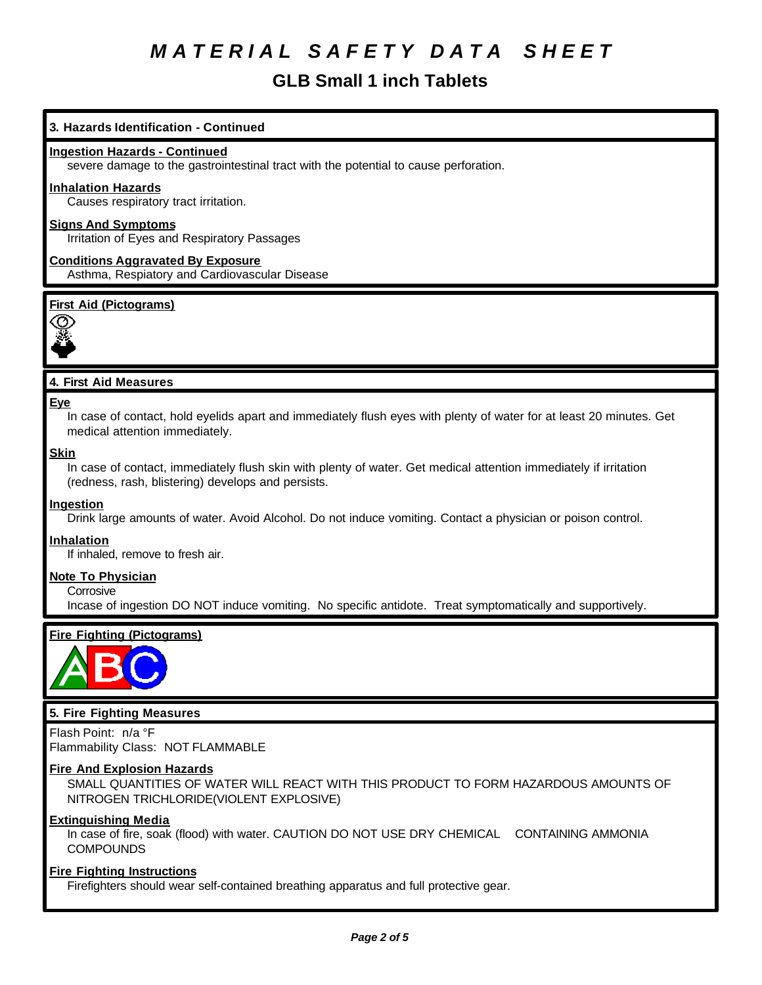## **GLB Small 1 inch Tablets**

## **3. Hazards Identification - Continued**

#### **Ingestion Hazards - Continued**

severe damage to the gastrointestinal tract with the potential to cause perforation.

#### **Inhalation Hazards**

Causes respiratory tract irritation.

## **Signs And Symptoms**

Irritation of Eyes and Respiratory Passages

**Conditions Aggravated By Exposure** Asthma, Respiatory and Cardiovascular Disease

#### **First Aid (Pictograms)**



## **4. First Aid Measures**

#### **Eye**

In case of contact, hold eyelids apart and immediately flush eyes with plenty of water for at least 20 minutes. Get medical attention immediately.

#### **Skin**

In case of contact, immediately flush skin with plenty of water. Get medical attention immediately if irritation (redness, rash, blistering) develops and persists.

#### **Ingestion**

Drink large amounts of water. Avoid Alcohol. Do not induce vomiting. Contact a physician or poison control.

#### **Inhalation**

If inhaled, remove to fresh air.

#### **Note To Physician**

**Corrosive** 

Incase of ingestion DO NOT induce vomiting. No specific antidote. Treat symptomatically and supportively.

## **Fire Fighting (Pictograms)**



#### **5. Fire Fighting Measures**

Flash Point: n/a °F Flammability Class: NOT FLAMMABLE

#### **Fire And Explosion Hazards**

SMALL QUANTITIES OF WATER WILL REACT WITH THIS PRODUCT TO FORM HAZARDOUS AMOUNTS OF NITROGEN TRICHLORIDE(VIOLENT EXPLOSIVE)

#### **Extinguishing Media**

In case of fire, soak (flood) with water. CAUTION DO NOT USE DRY CHEMICAL CONTAINING AMMONIA **COMPOUNDS** 

#### **Fire Fighting Instructions**

Firefighters should wear self-contained breathing apparatus and full protective gear.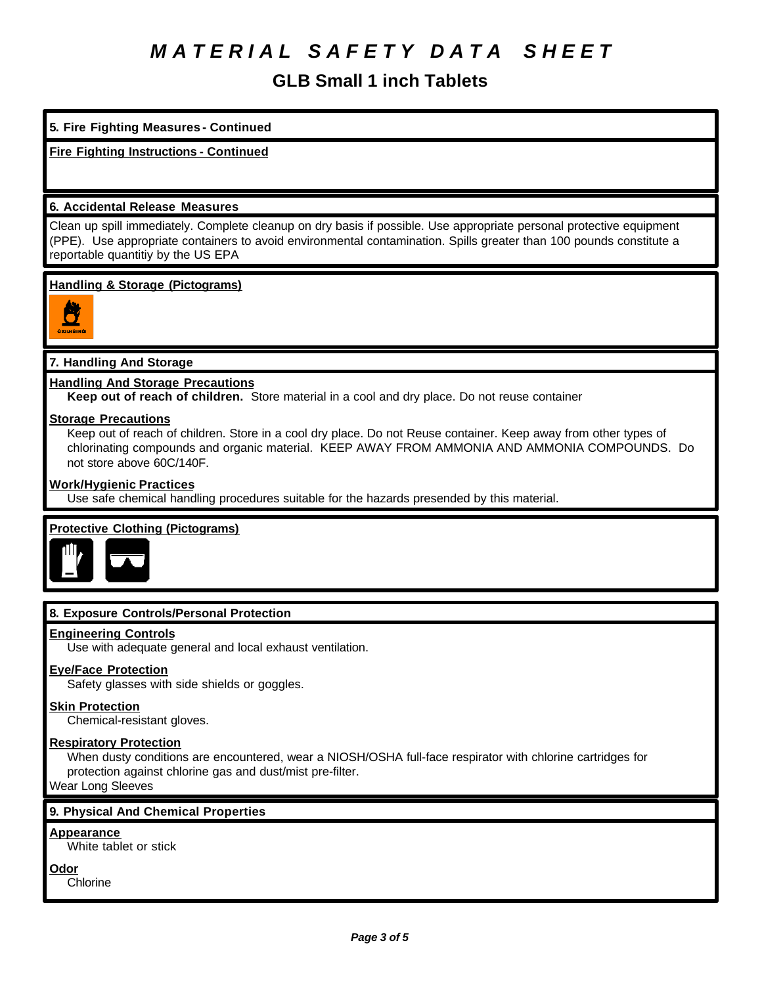## **GLB Small 1 inch Tablets**

## **5. Fire Fighting Measures - Continued**

## **Fire Fighting Instructions - Continued**

### **6. Accidental Release Measures**

Clean up spill immediately. Complete cleanup on dry basis if possible. Use appropriate personal protective equipment (PPE). Use appropriate containers to avoid environmental contamination. Spills greater than 100 pounds constitute a reportable quantitiy by the US EPA

#### **Handling & Storage (Pictograms)**



## **7. Handling And Storage**

#### **Handling And Storage Precautions**

**Keep out of reach of children.** Store material in a cool and dry place. Do not reuse container

#### **Storage Precautions**

Keep out of reach of children. Store in a cool dry place. Do not Reuse container. Keep away from other types of chlorinating compounds and organic material. KEEP AWAY FROM AMMONIA AND AMMONIA COMPOUNDS. Do not store above 60C/140F.

#### **Work/Hygienic Practices**

Use safe chemical handling procedures suitable for the hazards presended by this material.

## **Protective Clothing (Pictograms)**



## **8. Exposure Controls/Personal Protection**

#### **Engineering Controls**

Use with adequate general and local exhaust ventilation.

## **Eye/Face Protection**

Safety glasses with side shields or goggles.

#### **Skin Protection**

Chemical-resistant gloves.

#### **Respiratory Protection**

When dusty conditions are encountered, wear a NIOSH/OSHA full-face respirator with chlorine cartridges for protection against chlorine gas and dust/mist pre-filter.

Wear Long Sleeves

## **9. Physical And Chemical Properties**

#### **Appearance**

White tablet or stick

**Odor**

Chlorine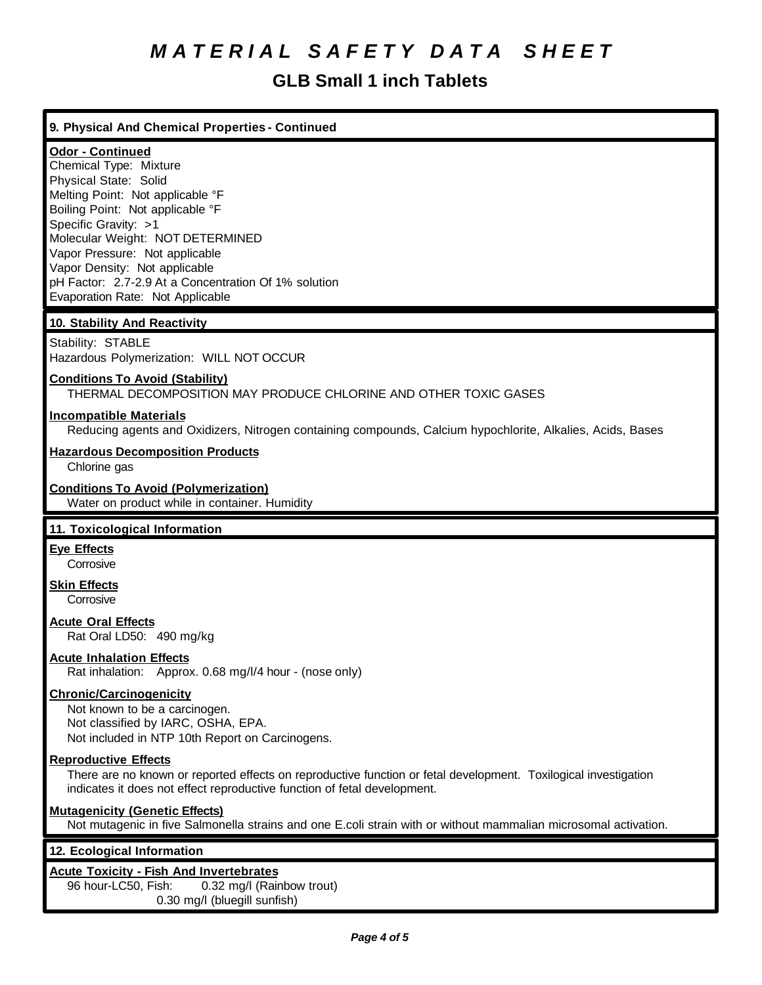## **GLB Small 1 inch Tablets**

## **9. Physical And Chemical Properties - Continued**

## **Odor - Continued**

Chemical Type: Mixture Physical State: Solid Melting Point: Not applicable °F Boiling Point: Not applicable °F Specific Gravity: >1 Molecular Weight: NOT DETERMINED Vapor Pressure: Not applicable Vapor Density: Not applicable pH Factor: 2.7-2.9 At a Concentration Of 1% solution Evaporation Rate: Not Applicable

## **10. Stability And Reactivity**

Stability: STABLE Hazardous Polymerization: WILL NOT OCCUR

## **Conditions To Avoid (Stability)**

THERMAL DECOMPOSITION MAY PRODUCE CHLORINE AND OTHER TOXIC GASES

#### **Incompatible Materials**

Reducing agents and Oxidizers, Nitrogen containing compounds, Calcium hypochlorite, Alkalies, Acids, Bases

#### **Hazardous Decomposition Products**

Chlorine gas

#### **Conditions To Avoid (Polymerization)**

Water on product while in container. Humidity

## **11. Toxicological Information**

## **Eye Effects**

**Corrosive** 

#### **Skin Effects Corrosive**

**Acute Oral Effects**

Rat Oral LD50: 490 mg/kg

## **Acute Inhalation Effects**

Rat inhalation: Approx. 0.68 mg/l/4 hour - (nose only)

#### **Chronic/Carcinogenicity**

Not known to be a carcinogen. Not classified by IARC, OSHA, EPA. Not included in NTP 10th Report on Carcinogens.

#### **Reproductive Effects**

There are no known or reported effects on reproductive function or fetal development. Toxilogical investigation indicates it does not effect reproductive function of fetal development.

## **Mutagenicity (Genetic Effects)**

Not mutagenic in five Salmonella strains and one E.coli strain with or without mammalian microsomal activation.

## **12. Ecological Information**

## **Acute Toxicity - Fish And Invertebrates**

96 hour-LC50, Fish: 0.32 mg/l (Rainbow trout) 0.30 mg/l (bluegill sunfish)